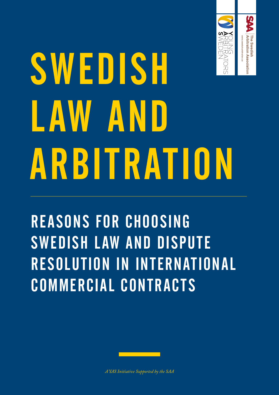

# SWEDISH LAW AND ARBITRATION

REASONS FOR CHOOSING SWEDISH LAW AND DISPUTE RESOLUTION IN INTERNATIONAL COMMERCIAL CONTRACTS



*A YAS Initiative Supported by the SAA*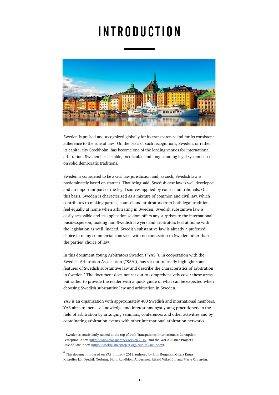# INTRODUCTION



Sweden is praised and recognized globally for its transparency and for its consistent adherence to the rule of law.<sup>1</sup> On the basis of such recognitions, Sweden, or rather its capital city Stockholm, has become one of the leading venues for international arbitration. Sweden has a stable, predictable and long-standing legal system based on solid democratic traditions.

Sweden is considered to be a civil law jurisdiction and, as such, Swedish law is predominately based on statutes. That being said, Swedish case law is well developed and an important part of the legal sources applied by courts and tribunals. On this basis, Sweden is characterized as a mixture of common and civil law, which contributes to making parties, counsel and arbitrators from both legal traditions feel equally at home when arbitrating in Sweden. Swedish substantive law is easily accessible and its application seldom offers any surprises to the international businessperson, making non-Swedish lawyers and arbitrators feel at home with the legislation as well. Indeed, Swedish substantive law is already a preferred choice in many commercial contracts with no connection to Sweden other than the parties' choice of law.

In this document Young Arbitrators Sweden ("YAS"), in cooperation with the Swedish Arbitration Association ("SAA"), has set out to briefly highlight some features of Swedish substantive law and describe the characteristics of arbitration in Sweden. $^{2}$  The document does not set out to comprehensively cover these areas but rather to provide the reader with a quick guide of what can be expected when choosing Swedish substantive law and arbitration in Sweden.

YAS is an organization with approximately 400 Swedish and international members. YAS aims to increase knowledge and interest amongst young practitioners in the field of arbitration by arranging seminars, conferences and other activities and by coordinating arbitration events with other international arbitration networks.

<sup>&</sup>lt;sup>1</sup> Sweden is consistently ranked at the top of both Transparency International's Corruption Perception Index ([http://www.transparency.org/cpi2015\)](http://www.transparency.org/cpi2015) and the World Justice Project's Rule of Law Index (<http://worldjusticeproject.org/rule-of-law-index>).

 $^{2}$  This document is based on YAS Intitiativ 2012 authored by Linn Bergman, Gisela Knuts, Kristoffer Löf, Fredrik Norburg, Björn Rundblom Andersson, Rikard Wikström and Marie Öhrström.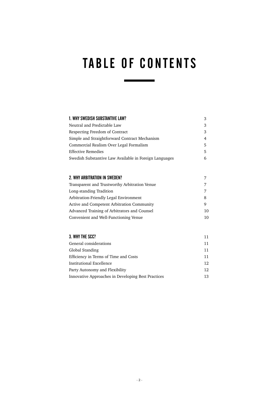## TABLE OF CONTENTS

| 1. WHY SWEDISH SUBSTANTIVE LAW?                                                                                | 3           |                                         |   |
|----------------------------------------------------------------------------------------------------------------|-------------|-----------------------------------------|---|
| Neutral and Predictable Law<br>Respecting Freedom of Contract<br>Simple and Straightforward Contract Mechanism | 3<br>3<br>4 |                                         |   |
|                                                                                                                |             | Commercial Realism Over Legal Formalism | 5 |
|                                                                                                                |             | <b>Effective Remedies</b>               | 5 |
| Swedish Substantive Law Available in Foreign Languages                                                         | 6           |                                         |   |
|                                                                                                                |             |                                         |   |
| 2. WHY ARBITRATION IN SWEDEN?                                                                                  | 7           |                                         |   |
| Transparent and Trustworthy Arbitration Venue                                                                  | 7           |                                         |   |
| Long-standing Tradition                                                                                        | 7           |                                         |   |
| Arbitration-Friendly Legal Environment                                                                         | 8           |                                         |   |
| Active and Competent Arbitration Community                                                                     | 9           |                                         |   |
| Advanced Training of Arbitrators and Counsel                                                                   | 10          |                                         |   |
| Convenient and Well-Functioning Venue                                                                          | 10          |                                         |   |
|                                                                                                                |             |                                         |   |
| 3. WHY THE SCC?                                                                                                | 11          |                                         |   |
| General considerations                                                                                         | 11          |                                         |   |
| Global Standing                                                                                                | 11          |                                         |   |
| Efficiency in Terms of Time and Costs                                                                          | 11          |                                         |   |
| Institutional Excellence                                                                                       | 12          |                                         |   |

Party Autonomy and Flexibility 12 Innovative Approaches in Developing Best Practices 13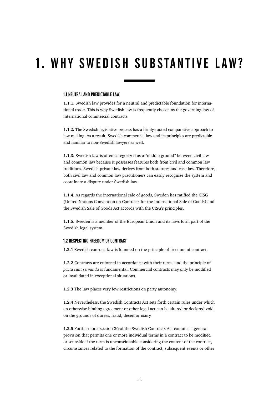## 1. WHY SWEDISH SUBSTANTIVE LAW?

#### 1.1 NEUTRAL AND PREDICTABLE LAW

**1.1.1**. Swedish law provides for a neutral and predictable foundation for international trade. This is why Swedish law is frequently chosen as the governing law of international commercial contracts.

**1.1.2.** The Swedish legislative process has a firmly-rooted comparative approach to law making. As a result, Swedish commercial law and its principles are predictable and familiar to non-Swedish lawyers as well.

**1.1.3.** Swedish law is often categorized as a "middle ground" between civil law and common law because it possesses features both from civil and common law traditions. Swedish private law derives from both statutes and case law. Therefore, both civil law and common law practitioners can easily recognize the system and coordinate a dispute under Swedish law.

**1.1.4.** As regards the international sale of goods, Sweden has ratified the CISG (United Nations Convention on Contracts for the International Sale of Goods) and the Swedish Sale of Goods Act accords with the CISG's principles.

**1.1.5.** Sweden is a member of the European Union and its laws form part of the Swedish legal system.

#### 1.2 RESPECTING FREEDOM OF CONTRACT

**1.2.1** Swedish contract law is founded on the principle of freedom of contract.

**1.2.2** Contracts are enforced in accordance with their terms and the principle of *pacta sunt servanda* is fundamental. Commercial contracts may only be modified or invalidated in exceptional situations.

**1.2.3** The law places very few restrictions on party autonomy.

**1.2.4** Nevertheless, the Swedish Contracts Act sets forth certain rules under which an otherwise binding agreement or other legal act can be altered or declared void on the grounds of duress, fraud, deceit or usury.

**1.2.5** Furthermore, section 36 of the Swedish Contracts Act contains a general provision that permits one or more individual terms in a contract to be modified or set aside if the term is unconscionable considering the content of the contract, circumstances related to the formation of the contract, subsequent events or other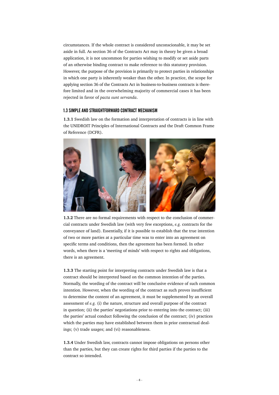circumstances. If the whole contract is considered unconscionable, it may be set aside in full. As section 36 of the Contracts Act may in theory be given a broad application, it is not uncommon for parties wishing to modify or set aside parts of an otherwise binding contract to make reference to this statutory provision. However, the purpose of the provision is primarily to protect parties in relationships in which one party is inherently weaker than the other. In practice, the scope for applying section 36 of the Contracts Act in business-to-business contracts is therefore limited and in the overwhelming majority of commercial cases it has been rejected in favor of *pacta sunt servanda*.

#### 1.3 SIMPLE AND STRAIGHTFORWARD CONTRACT MECHANISM

**1.3.1** Swedish law on the formation and interpretation of contracts is in line with the UNIDROIT Principles of International Contracts and the Draft Common Frame of Reference (DCFR).



**1.3.2** There are no formal requirements with respect to the conclusion of commercial contracts under Swedish law (with very few exceptions, *e.g.* contracts for the conveyance of land). Essentially, if it is possible to establish that the true intention of two or more parties at a particular time was to enter into an agreement on specific terms and conditions, then the agreement has been formed. In other words, when there is a 'meeting of minds' with respect to rights and obligations, there is an agreement.

**1.3.3** The starting point for interpreting contracts under Swedish law is that a contract should be interpreted based on the common intention of the parties. Normally, the wording of the contract will be conclusive evidence of such common intention. However, when the wording of the contract as such proves insufficient to determine the content of an agreement, it must be supplemented by an overall assessment of *e.g.* (i) the nature, structure and overall purpose of the contract in question; (ii) the parties' negotiations prior to entering into the contract; (iii) the parties' actual conduct following the conclusion of the contract; (iv) practices which the parties may have established between them in prior contractual dealings; (v) trade usages; and (vi) reasonableness.

**1.3.4** Under Swedish law, contracts cannot impose obligations on persons other than the parties, but they can create rights for third parties if the parties to the contract so intended.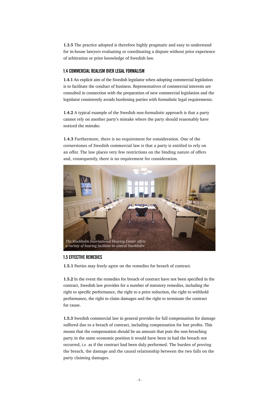**1.3.5** The practice adopted is therefore highly pragmatic and easy to understand for in-house lawyers evaluating or coordinating a dispute without prior experience of arbitration or prior knowledge of Swedish law.

#### 1.4 COMMERCIAL REALISM OVER LEGAL FORMALISM

**1.4.1** An explicit aim of the Swedish legislator when adopting commercial legislation is to facilitate the conduct of business. Representatives of commercial interests are consulted in connection with the preparation of new commercial legislation and the legislator consistently avoids burdening parties with formalistic legal requirements.

**1.4.2** A typical example of the Swedish non-formalistic approach is that a party cannot rely on another party's mistake where the party should reasonably have noticed the mistake.

**1.4.3** Furthermore, there is no requirement for consideration. One of the cornerstones of Swedish commercial law is that a party is entitled to rely on an offer. The law places very few restrictions on the binding nature of offers and, consequently, there is no requirement for consideration.



#### 1.5 EFFECTIVE REMEDIES

**1.5.1** Parties may freely agree on the remedies for breach of contract.

**1.5.2** In the event the remedies for breach of contract have not been specified in the contract, Swedish law provides for a number of statutory remedies, including the right to specific performance, the right to a price reduction, the right to withhold performance, the right to claim damages and the right to terminate the contract for cause.

**1.5.3** Swedish commercial law in general provides for full compensation for damage suffered due to a breach of contract, including compensation for lost profits. This means that the compensation should be an amount that puts the non-breaching party in the same economic position it would have been in had the breach not occurred, *i.e.* as if the contract had been duly performed. The burden of proving the breach, the damage and the causal relationship between the two falls on the party claiming damages.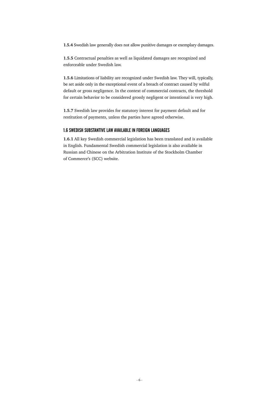**1.5.4** Swedish law generally does not allow punitive damages or exemplary damages.

**1.5.5** Contractual penalties as well as liquidated damages are recognized and enforceable under Swedish law.

**1.5.6** Limitations of liability are recognized under Swedish law. They will, typically, be set aside only in the exceptional event of a breach of contract caused by wilful default or gross negligence. In the context of commercial contracts, the threshold for certain behavior to be considered grossly negligent or intentional is very high.

**1.5.7** Swedish law provides for statutory interest for payment default and for restitution of payments, unless the parties have agreed otherwise.

#### 1.6 SWEDISH SUBSTANTIVE LAW AVAILABLE IN FOREIGN LANGUAGES

**1.6.1** All key Swedish commercial legislation has been translated and is available in English. Fundamental Swedish commercial legislation is also available in Russian and Chinese on the Arbitration Institute of the Stockholm Chamber of Commerce's (SCC) website.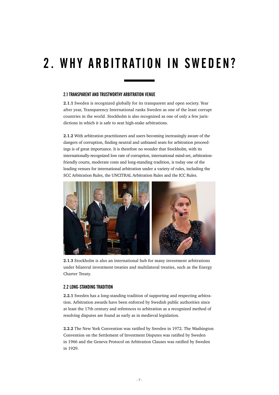# 2. WHY ARBITRATION IN SWEDEN?

#### 2.1 TRANSPARENT AND TRUSTWORTHY ARBITRATION VENUE

**2.1.1** Sweden is recognized globally for its transparent and open society. Year after year, Transparency International ranks Sweden as one of the least corrupt countries in the world. Stockholm is also recognized as one of only a few jurisdictions in which it is safe to seat high-stake arbitrations.

**2.1.2** With arbitration practitioners and users becoming increasingly aware of the dangers of corruption, finding neutral and unbiased seats for arbitration proceedings is of great importance. It is therefore no wonder that Stockholm, with its internationally-recognized low rate of corruption, international mind-set, arbitrationfriendly courts, moderate costs and long-standing tradition, is today one of the leading venues for international arbitration under a variety of rules, including the SCC Arbitration Rules, the UNCITRAL Arbitration Rules and the ICC Rules.



**2.1.3** Stockholm is also an international hub for many investment arbitrations under bilateral investment treaties and multilateral treaties, such as the Energy Charter Treaty.

#### 2.2 LONG-STANDING TRADITION

**2.2.1** Sweden has a long-standing tradition of supporting and respecting arbitration. Arbitration awards have been enforced by Swedish public authorities since at least the 17th century and references to arbitration as a recognized method of resolving disputes are found as early as in medieval legislation.

**2.2.2** The New York Convention was ratified by Sweden in 1972. The Washington Convention on the Settlement of Investment Disputes was ratified by Sweden in 1966 and the Geneva Protocol on Arbitration Clauses was ratified by Sweden in 1929.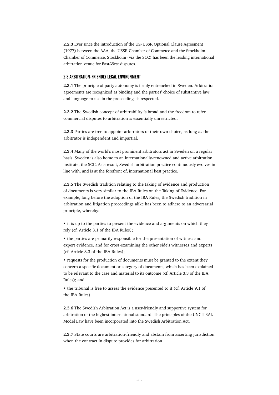**2.2.3** Ever since the introduction of the US/USSR Optional Clause Agreement (1977) between the AAA, the USSR Chamber of Commerce and the Stockholm Chamber of Commerce, Stockholm (via the SCC) has been the leading international arbitration venue for East-West disputes.

#### 2.3 ARBITRATION-FRIENDLY LEGAL ENVIRONMENT

**2.3.1** The principle of party autonomy is firmly entrenched in Sweden. Arbitration agreements are recognized as binding and the parties' choice of substantive law and language to use in the proceedings is respected.

**2.3.2** The Swedish concept of arbitrability is broad and the freedom to refer commercial disputes to arbitration is essentially unrestricted.

**2.3.3** Parties are free to appoint arbitrators of their own choice, as long as the arbitrator is independent and impartial.

**2.3.4** Many of the world's most prominent arbitrators act in Sweden on a regular basis. Sweden is also home to an internationally-renowned and active arbitration institute, the SCC. As a result, Swedish arbitration practice continuously evolves in line with, and is at the forefront of, international best practice.

**2.3.5** The Swedish tradition relating to the taking of evidence and production of documents is very similar to the IBA Rules on the Taking of Evidence. For example, long before the adoption of the IBA Rules, the Swedish tradition in arbitration and litigation proceedings alike has been to adhere to an adversarial principle, whereby:

• it is up to the parties to present the evidence and arguments on which they rely (cf. Article 3.1 of the IBA Rules);

• the parties are primarily responsible for the presentation of witness and expert evidence, and for cross-examining the other side's witnesses and experts (cf. Article 8.3 of the IBA Rules);

• requests for the production of documents must be granted to the extent they concern a specific document or category of documents, which has been explained to be relevant to the case and material to its outcome (cf. Article 3.3 of the IBA Rules); and

• the tribunal is free to assess the evidence presented to it (cf. Article 9.1 of the IBA Rules).

**2.3.6** The Swedish Arbitration Act is a user-friendly and supportive system for arbitration of the highest international standard. The principles of the UNCITRAL Model Law have been incorporated into the Swedish Arbitration Act.

**2.3.7** State courts are arbitration-friendly and abstain from asserting jurisdiction when the contract in dispute provides for arbitration.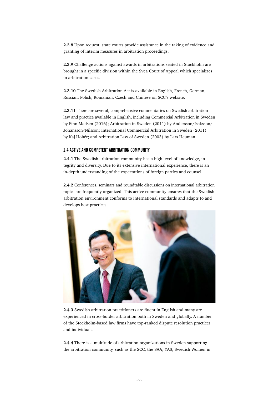**2.3.8** Upon request, state courts provide assistance in the taking of evidence and granting of interim measures in arbitration proceedings.

**2.3.9** Challenge actions against awards in arbitrations seated in Stockholm are brought in a specific division within the Svea Court of Appeal which specializes in arbitration cases.

**2.3.10** The Swedish Arbitration Act is available in English, French, German, Russian, Polish, Romanian, Czech and Chinese on SCC's website.

**2.3.11** There are several, comprehensive commentaries on Swedish arbitration law and practice available in English, including Commercial Arbitration in Sweden by Finn Madsen (2016); Arbitration in Sweden (2011) by Andersson/Isaksson/ Johansson/Nilsson; International Commercial Arbitration in Sweden (2011) by Kaj Hobér; and Arbitration Law of Sweden (2003) by Lars Heuman.

#### 2.4 ACTIVE AND COMPETENT ARBITRATION COMMUNITY

**2.4.1** The Swedish arbitration community has a high level of knowledge, integrity and diversity. Due to its extensive international experience, there is an in-depth understanding of the expectations of foreign parties and counsel.

**2.4.2** Conferences, seminars and roundtable discussions on international arbitration topics are frequently organized. This active community ensures that the Swedish arbitration environment conforms to international standards and adapts to and develops best practices.



**2.4.3** Swedish arbitration practitioners are fluent in English and many are experienced in cross-border arbitration both in Sweden and globally. A number of the Stockholm-based law firms have top-ranked dispute resolution practices and individuals.

**2.4.4** There is a multitude of arbitration organizations in Sweden supporting the arbitration community, such as the SCC, the SAA, YAS, Swedish Women in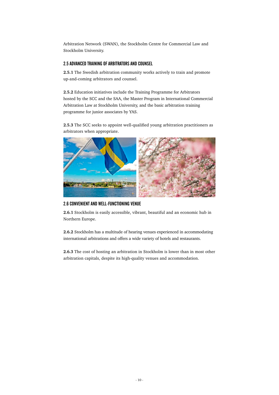Arbitration Network (SWAN), the Stockholm Centre for Commercial Law and Stockholm University.

#### 2.5 ADVANCED TRAINING OF ARBITRATORS AND COUNSEL

**2.5.1** The Swedish arbitration community works actively to train and promote up-and-coming arbitrators and counsel.

**2.5.2** Education initiatives include the Training Programme for Arbitrators hosted by the SCC and the SAA, the Master Program in International Commercial Arbitration Law at Stockholm University, and the basic arbitration training programme for junior associates by YAS.

**2.5.3** The SCC seeks to appoint well-qualified young arbitration practitioners as arbitrators when appropriate.



2.6 CONVENIENT AND WELL-FUNCTIONING VENUE

**2.6.1** Stockholm is easily accessible, vibrant, beautiful and an economic hub in Northern Europe.

**2.6.2** Stockholm has a multitude of hearing venues experienced in accommodating international arbitrations and offers a wide variety of hotels and restaurants.

**2.6.3** The cost of hosting an arbitration in Stockholm is lower than in most other arbitration capitals, despite its high-quality venues and accommodation.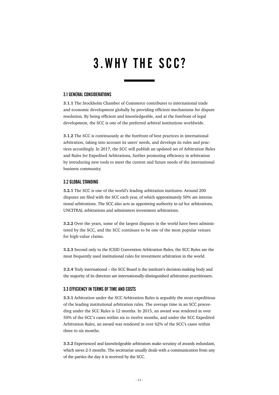### 3. WHY THE SCC?

#### 3.1 GENERAL CONSIDERATIONS

**3.1.1** The Stockholm Chamber of Commerce contributes to international trade and economic development globally by providing efficient mechanisms for dispute resolution. By being efficient and knowledgeable, and at the forefront of legal development, the SCC is one of the preferred arbitral institutions worldwide.

**3.1.2** The SCC is continuously at the forefront of best practices in international arbitration, taking into account its users' needs, and develops its rules and practices accordingly. In 2017, the SCC will publish an updated set of Arbitration Rules and Rules for Expedited Arbitrations, further promoting efficiency in arbitration by introducing new tools to meet the current and future needs of the international business community.

#### 3.2 GLOBAL STANDING

**3.2.1** The SCC is one of the world's leading arbitration institutes. Around 200 disputes are filed with the SCC each year, of which approximately 50% are international arbitrations. The SCC also acts as appointing authority in *ad hoc* arbitrations, UNCITRAL arbitrations and administers investment arbitrations.

**3.2.2** Over the years, some of the largest disputes in the world have been administered by the SCC, and the SCC continues to be one of the most popular venues for high-value claims.

**3.2.3** Second only to the ICSID Convention Arbitration Rules, the SCC Rules are the most frequently used institutional rules for investment arbitration in the world.

**3.2.4** Truly international – the SCC Board is the institute's decision-making body and the majority of its directors are internationally-distinguished arbitration practitioners.

#### 3.3 EFFICIENCY IN TERMS OF TIME AND COSTS

**3.3.1** Arbitration under the SCC Arbitration Rules is arguably the most expeditious of the leading institutional arbitration rules. The average time in an SCC proceeding under the SCC Rules is 12 months. In 2015, an award was rendered in over 50% of the SCC's cases within six to twelve months, and under the SCC Expedited Arbitration Rules, an award was rendered in over 62% of the SCC's cases within three to six months.

**3.3.2** Experienced and knowledgeable arbitrators make scrutiny of awards redundant, which saves 2-3 months. The secretariat usually deals with a communication from any of the parties the day it is received by the SCC.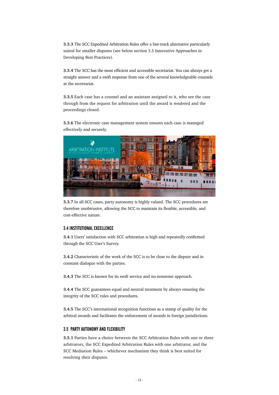**3.3.3** The SCC Expedited Arbitration Rules offer a fast-track alternative particularly suited for smaller disputes (see below section 3.5 Innovative Approaches in Developing Best Practices).

**3.3.4** The SCC has the most efficient and accessible secretariat. You can always get a straight answer and a swift response from one of the several knowledgeable counsels at the secretariat.

**3.3.5** Each case has a counsel and an assistant assigned to it, who see the case through from the request for arbitration until the award is rendered and the proceedings closed.

**3.3.6** The electronic case management system ensures each case is managed effectively and securely.



**3.3.7** In all SCC cases, party autonomy is highly valued. The SCC procedures are therefore unobtrusive, allowing the SCC to maintain its flexible, accessible, and cost-effective nature.

#### 3.4 INSTITUTIONAL EXCELLENCE

**3.4.1** Users' satisfaction with SCC arbitration is high and repeatedly confirmed through the SCC User's Survey.

**3.4.2** Characteristic of the work of the SCC is to be close to the dispute and in constant dialogue with the parties.

**3.4.3** The SCC is known for its swift service and no-nonsense approach.

**3.4.4** The SCC guarantees equal and neutral treatment by always ensuring the integrity of the SCC rules and procedures.

**3.4.5** The SCC's international recognition functions as a stamp of quality for the arbitral awards and facilitates the enforcement of awards in foreign jurisdictions.

#### 3.5 PARTY AUTONOMY AND FLEXIBILITY

**3.5.1** Parties have a choice between the SCC Arbitration Rules with one or three arbitrators, the SCC Expedited Arbitration Rules with one arbitrator, and the SCC Mediation Rules – whichever mechanism they think is best suited for resolving their disputes.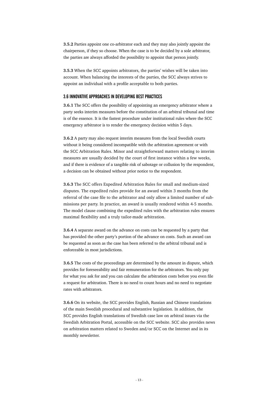**3.5.2** Parties appoint one co-arbitrator each and they may also jointly appoint the chairperson, if they so choose. When the case is to be decided by a sole arbitrator, the parties are always afforded the possibility to appoint that person jointly.

**3.5.3** When the SCC appoints arbitrators, the parties' wishes will be taken into account. When balancing the interests of the parties, the SCC always strives to appoint an individual with a profile acceptable to both parties.

#### 3.6 INNOVATIVE APPROACHES IN DEVELOPING BEST PRACTICES

**3.6.1** The SCC offers the possibility of appointing an emergency arbitrator where a party seeks interim measures before the constitution of an arbitral tribunal and time is of the essence. It is the fastest procedure under institutional rules where the SCC emergency arbitrator is to render the emergency decision within 5 days.

**3.6.2** A party may also request interim measures from the local Swedish courts without it being considered incompatible with the arbitration agreement or with the SCC Arbitration Rules. Minor and straightforward matters relating to interim measures are usually decided by the court of first instance within a few weeks, and if there is evidence of a tangible risk of sabotage or collusion by the respondent, a decision can be obtained without prior notice to the respondent.

**3.6.3** The SCC offers Expedited Arbitration Rules for small and medium-sized disputes. The expedited rules provide for an award within 3 months from the referral of the case file to the arbitrator and only allow a limited number of submissions per party. In practice, an award is usually rendered within 4-5 months. The model clause combining the expedited rules with the arbitration rules ensures maximal flexibility and a truly tailor-made arbitration.

**3.6.4** A separate award on the advance on costs can be requested by a party that has provided the other party's portion of the advance on costs. Such an award can be requested as soon as the case has been referred to the arbitral tribunal and is enforceable in most jurisdictions.

**3.6.5** The costs of the proceedings are determined by the amount in dispute, which provides for foreseeability and fair remuneration for the arbitrators. You only pay for what you ask for and you can calculate the arbitration costs before you even file a request for arbitration. There is no need to count hours and no need to negotiate rates with arbitrators.

**3.6.6** On its website, the SCC provides English, Russian and Chinese translations of the main Swedish procedural and substantive legislation. In addition, the SCC provides English translations of Swedish case law on arbitral issues via the Swedish Arbitration Portal, accessible on the SCC website. SCC also provides news on arbitration matters related to Sweden and/or SCC on the Internet and in its monthly newsletter.